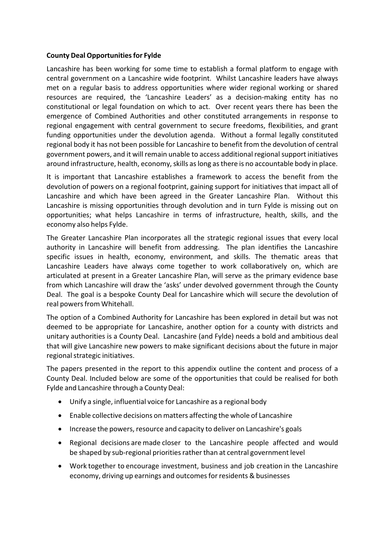### **County Deal Opportunitiesfor Fylde**

Lancashire has been working for some time to establish a formal platform to engage with central government on a Lancashire wide footprint. Whilst Lancashire leaders have always met on a regular basis to address opportunities where wider regional working or shared resources are required, the 'Lancashire Leaders' as a decision‐making entity has no constitutional or legal foundation on which to act. Over recent years there has been the emergence of Combined Authorities and other constituted arrangements in response to regional engagement with central government to secure freedoms, flexibilities, and grant funding opportunities under the devolution agenda. Without a formal legally constituted regional body it has not been possible for Lancashire to benefit from the devolution of central government powers, and it will remain unable to access additional regionalsupport initiatives around infrastructure, health, economy, skills as long as there is no accountable body in place.

It is important that Lancashire establishes a framework to access the benefit from the devolution of powers on a regional footprint, gaining support for initiatives that impact all of Lancashire and which have been agreed in the Greater Lancashire Plan. Without this Lancashire is missing opportunities through devolution and in turn Fylde is missing out on opportunities; what helps Lancashire in terms of infrastructure, health, skills, and the economy also helps Fylde.

The Greater Lancashire Plan incorporates all the strategic regional issues that every local authority in Lancashire will benefit from addressing. The plan identifies the Lancashire specific issues in health, economy, environment, and skills. The thematic areas that Lancashire Leaders have always come together to work collaboratively on, which are articulated at present in a Greater Lancashire Plan, will serve as the primary evidence base from which Lancashire will draw the 'asks' under devolved government through the County Deal. The goal is a bespoke County Deal for Lancashire which will secure the devolution of real powers from Whitehall.

The option of a Combined Authority for Lancashire has been explored in detail but was not deemed to be appropriate for Lancashire, another option for a county with districts and unitary authorities is a County Deal. Lancashire (and Fylde) needs a bold and ambitious deal that will give Lancashire new powers to make significant decisions about the future in major regional strategic initiatives.

The papers presented in the report to this appendix outline the content and process of a County Deal. Included below are some of the opportunities that could be realised for both Fylde and Lancashire through a County Deal:

- Unify a single, influential voice for Lancashire as a regional body
- Enable collective decisions on matters affecting the whole of Lancashire
- Increase the powers, resource and capacity to deliver on Lancashire's goals
- Regional decisions are made closer to the Lancashire people affected and would be shaped by sub-regional priorities rather than at central government level
- Work together to encourage investment, business and job creation in the Lancashire economy, driving up earnings and outcomes for residents & businesses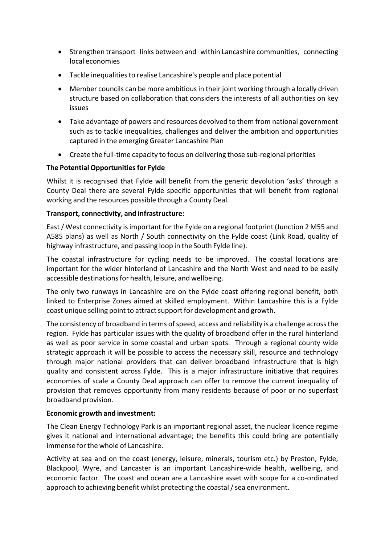- Strengthen transport links between and within Lancashire communities, connecting local economies
- Tackle inequalities to realise Lancashire's people and place potential
- Member councils can be more ambitious in their joint working through a locally driven structure based on collaboration that considers the interests of all authorities on key issues
- Take advantage of powers and resources devolved to them from national government such as to tackle inequalities, challenges and deliver the ambition and opportunities captured in the emerging Greater Lancashire Plan
- Create the full-time capacity to focus on delivering those sub-regional priorities

# **The Potential Opportunitiesfor Fylde**

Whilst it is recognised that Fylde will benefit from the generic devolution 'asks' through a County Deal there are several Fylde specific opportunities that will benefit from regional working and the resources possible through a County Deal.

# **Transport, connectivity, and infrastructure:**

East/ West connectivity isimportant for the Fylde on a regional footprint (Junction 2 M55 and A585 plans) as well as North / South connectivity on the Fylde coast (Link Road, quality of highway infrastructure, and passing loop in the South Fylde line).

The coastal infrastructure for cycling needs to be improved. The coastal locations are important for the wider hinterland of Lancashire and the North West and need to be easily accessible destinations for health, leisure, and wellbeing.

The only two runways in Lancashire are on the Fylde coast offering regional benefit, both linked to Enterprise Zones aimed at skilled employment. Within Lancashire this is a Fylde coast unique selling point to attract support for development and growth.

The consistency of broadband in terms of speed, access and reliability is a challenge across the region. Fylde has particular issues with the quality of broadband offer in the rural hinterland as well as poor service in some coastal and urban spots. Through a regional county wide strategic approach it will be possible to access the necessary skill, resource and technology through major national providers that can deliver broadband infrastructure that is high quality and consistent across Fylde. This is a major infrastructure initiative that requires economies of scale a County Deal approach can offer to remove the current inequality of provision that removes opportunity from many residents because of poor or no superfast broadband provision.

#### **Economic growth and investment:**

The Clean Energy Technology Park is an important regional asset, the nuclear licence regime gives it national and international advantage; the benefits this could bring are potentially immense for the whole of Lancashire.

Activity at sea and on the coast (energy, leisure, minerals, tourism etc.) by Preston, Fylde, Blackpool, Wyre, and Lancaster is an important Lancashire‐wide health, wellbeing, and economic factor. The coast and ocean are a Lancashire asset with scope for a co-ordinated approach to achieving benefit whilst protecting the coastal  $/$  sea environment.